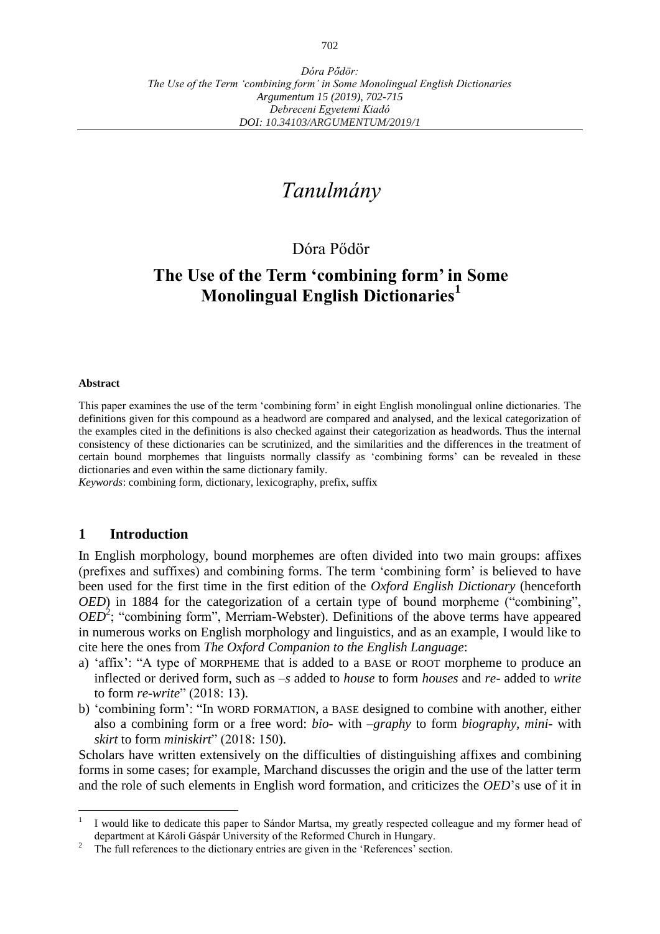# *Tanulmány*

### Dóra Pődör

## **The Use of the Term ʻcombining form' in Some Monolingual English Dictionaries<sup>1</sup>**

#### **Abstract**

This paper examines the use of the term ʻcombining form' in eight English monolingual online dictionaries. The definitions given for this compound as a headword are compared and analysed, and the lexical categorization of the examples cited in the definitions is also checked against their categorization as headwords. Thus the internal consistency of these dictionaries can be scrutinized, and the similarities and the differences in the treatment of certain bound morphemes that linguists normally classify as ʻcombining forms' can be revealed in these dictionaries and even within the same dictionary family.

*Keywords*: combining form, dictionary, lexicography, prefix, suffix

#### **1 Introduction**

In English morphology, bound morphemes are often divided into two main groups: affixes (prefixes and suffixes) and combining forms. The term ʻcombining form' is believed to have been used for the first time in the first edition of the *Oxford English Dictionary* (henceforth *OED*) in 1884 for the categorization of a certain type of bound morpheme ("combining",  $OED<sup>2</sup>$ ; "combining form", Merriam-Webster). Definitions of the above terms have appeared in numerous works on English morphology and linguistics, and as an example, I would like to cite here the ones from *The Oxford Companion to the English Language*:

- a) ʻaffix': "A type of MORPHEME that is added to a BASE or ROOT morpheme to produce an inflected or derived form, such as *–s* added to *house* to form *houses* and *re-* added to *write* to form *re-write*" (2018: 13).
- b) ʻcombining form': "In WORD FORMATION, a BASE designed to combine with another, either also a combining form or a free word: *bio-* with *–graphy* to form *biography*, *mini-* with *skirt* to form *miniskirt*" (2018: 150).

Scholars have written extensively on the difficulties of distinguishing affixes and combining forms in some cases; for example, Marchand discusses the origin and the use of the latter term and the role of such elements in English word formation, and criticizes the *OED*'s use of it in

 $\frac{1}{1}$ I would like to dedicate this paper to Sándor Martsa, my greatly respected colleague and my former head of department at Károli Gáspár University of the Reformed Church in Hungary.

The full references to the dictionary entries are given in the 'References' section.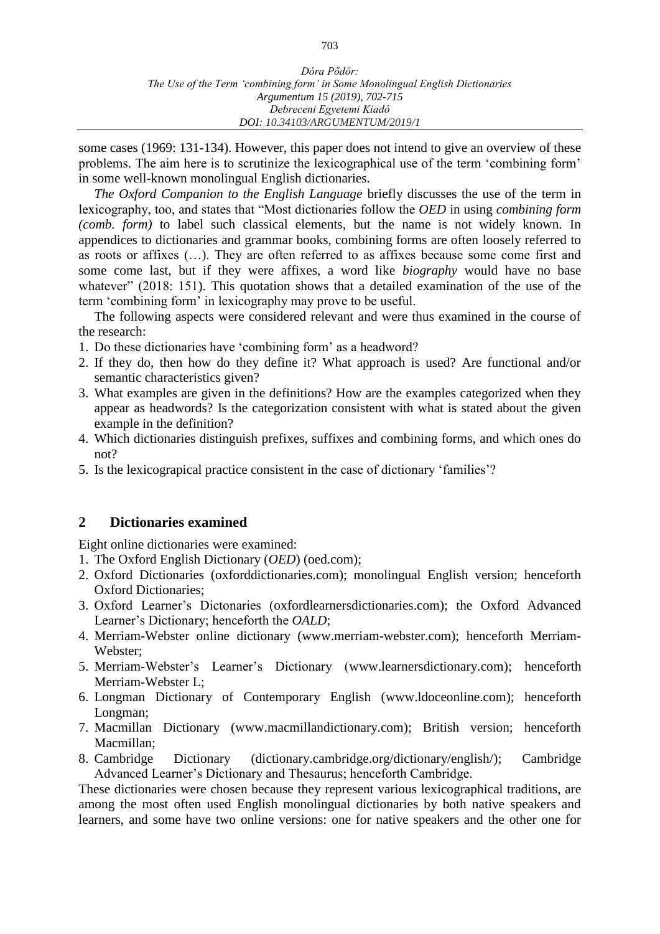some cases (1969: 131-134). However, this paper does not intend to give an overview of these problems. The aim here is to scrutinize the lexicographical use of the term ʻcombining form' in some well-known monolingual English dictionaries.

*The Oxford Companion to the English Language* briefly discusses the use of the term in lexicography, too, and states that "Most dictionaries follow the *OED* in using *combining form (comb. form)* to label such classical elements, but the name is not widely known. In appendices to dictionaries and grammar books, combining forms are often loosely referred to as roots or affixes (…). They are often referred to as affixes because some come first and some come last, but if they were affixes, a word like *biography* would have no base whatever" (2018: 151). This quotation shows that a detailed examination of the use of the term ʻcombining form' in lexicography may prove to be useful.

The following aspects were considered relevant and were thus examined in the course of the research:

- 1. Do these dictionaries have ʻcombining form' as a headword?
- 2. If they do, then how do they define it? What approach is used? Are functional and/or semantic characteristics given?
- 3. What examples are given in the definitions? How are the examples categorized when they appear as headwords? Is the categorization consistent with what is stated about the given example in the definition?
- 4. Which dictionaries distinguish prefixes, suffixes and combining forms, and which ones do not?
- 5. Is the lexicograpical practice consistent in the case of dictionary ʻfamilies'?

#### **2 Dictionaries examined**

Eight online dictionaries were examined:

- 1. The Oxford English Dictionary (*OED*) (oed.com);
- 2. Oxford Dictionaries (oxforddictionaries.com); monolingual English version; henceforth Oxford Dictionaries;
- 3. Oxford Learner's Dictonaries (oxfordlearnersdictionaries.com); the Oxford Advanced Learner's Dictionary; henceforth the *OALD*;
- 4. Merriam-Webster online dictionary [\(www.merriam-webster.com\)](https://www.merriam-webster.com/); henceforth Merriam-Webster;
- 5. Merriam-Webster's Learner's Dictionary [\(www.learnersdictionary.com\)](http://www.learnersdictionary.com/); henceforth Merriam-Webster L;
- 6. Longman Dictionary of Contemporary English [\(www.ldoceonline.com\)](https://www.ldoceonline.com/); henceforth Longman:
- 7. Macmillan Dictionary [\(www.macmillandictionary.com\)](https://www.macmillandictionary.com/); British version; henceforth Macmillan;
- 8. Cambridge Dictionary [\(dictionary.cambridge.org/dictionary/english/\)](https://dictionary.cambridge.org/dictionary/english/); Cambridge Advanced Learner's Dictionary and Thesaurus; henceforth Cambridge.

These dictionaries were chosen because they represent various lexicographical traditions, are among the most often used English monolingual dictionaries by both native speakers and learners, and some have two online versions: one for native speakers and the other one for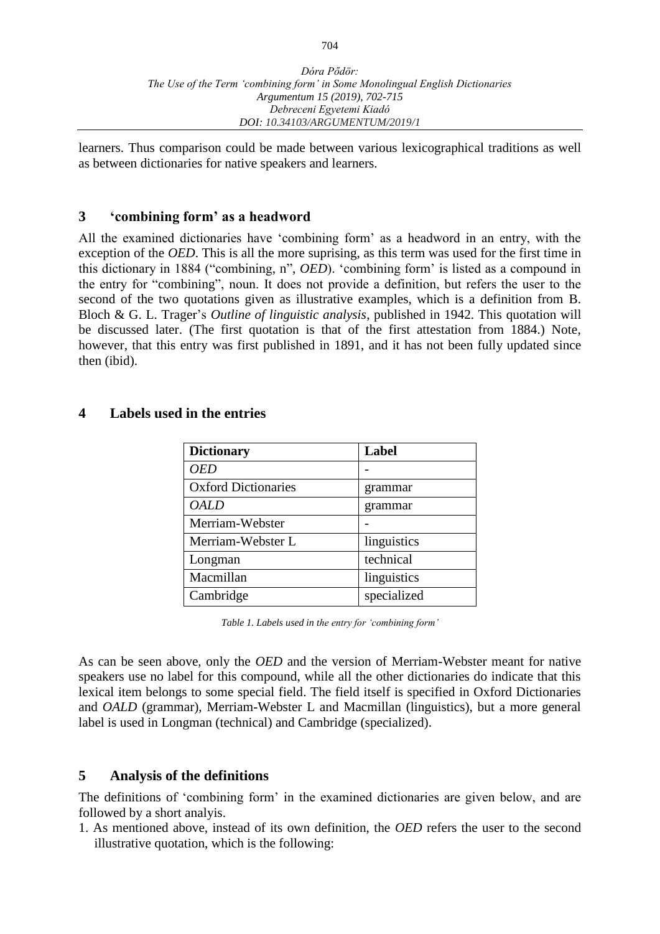learners. Thus comparison could be made between various lexicographical traditions as well as between dictionaries for native speakers and learners.

#### **3 ʻcombining form' as a headword**

All the examined dictionaries have ʻcombining form' as a headword in an entry, with the exception of the *OED*. This is all the more suprising, as this term was used for the first time in this dictionary in 1884 ("combining, n", *OED*). ʻcombining form' is listed as a compound in the entry for "combining", noun. It does not provide a definition, but refers the user to the second of the two quotations given as illustrative examples, which is a definition from B. Bloch & G. L. Trager's *Outline of linguistic analysis*, published in 1942. This quotation will be discussed later. (The first quotation is that of the first attestation from 1884.) Note, however, that this entry was first published in 1891, and it has not been fully updated since then (ibid).

#### **4 Labels used in the entries**

| <b>Dictionary</b>          | Label       |
|----------------------------|-------------|
| OED                        |             |
| <b>Oxford Dictionaries</b> | grammar     |
| OALD                       | grammar     |
| Merriam-Webster            |             |
| Merriam-Webster L          | linguistics |
| Longman                    | technical   |
| Macmillan                  | linguistics |
| Cambridge                  | specialized |

*Table 1. Labels used in the entry for ʻcombining form'*

As can be seen above, only the *OED* and the version of Merriam-Webster meant for native speakers use no label for this compound, while all the other dictionaries do indicate that this lexical item belongs to some special field. The field itself is specified in Oxford Dictionaries and *OALD* (grammar), Merriam-Webster L and Macmillan (linguistics), but a more general label is used in Longman (technical) and Cambridge (specialized).

#### **5 Analysis of the definitions**

The definitions of ʻcombining form' in the examined dictionaries are given below, and are followed by a short analyis.

1. As mentioned above, instead of its own definition, the *OED* refers the user to the second illustrative quotation, which is the following: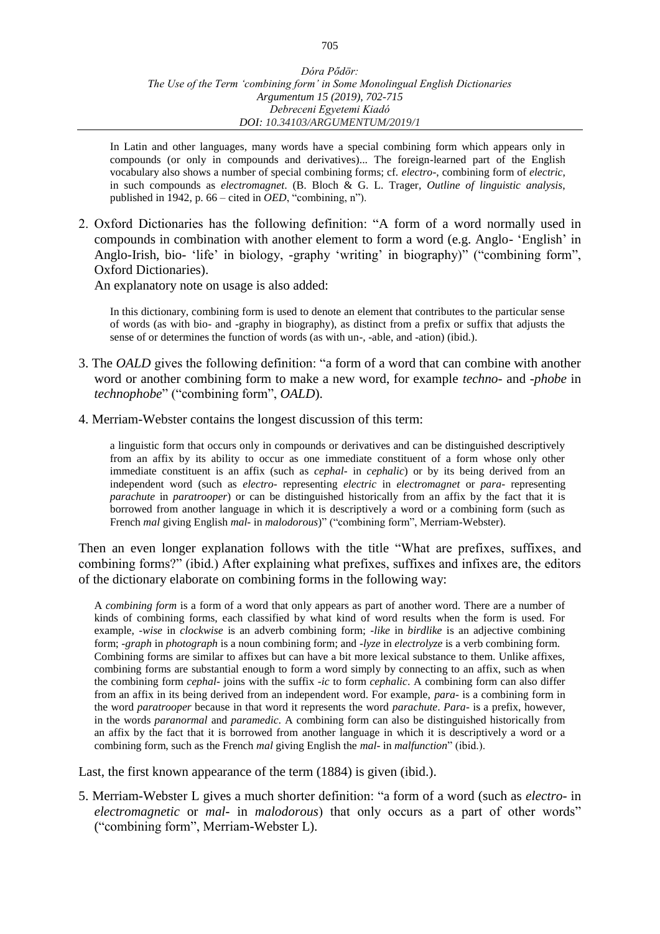In Latin and other languages, many words have a special combining form which appears only in compounds (or only in compounds and derivatives)... The foreign-learned part of the English vocabulary also shows a number of special combining forms; cf. *electro-*, combining form of *electric*, in such compounds as *electromagnet*. (B. Bloch & G. L. Trager, *Outline of linguistic analysis*, published in 1942, p. 66 – cited in *OED*, "combining, n").

2. Oxford Dictionaries has the following definition: "A form of a word normally used in compounds in combination with another element to form a word (e.g. Anglo- 'English' in Anglo-Irish, bio- 'life' in biology, -graphy 'writing' in biography)" ("combining form", Oxford Dictionaries).

An explanatory note on usage is also added:

In this dictionary, combining form is used to denote an element that contributes to the particular sense of words (as with bio- and -graphy in biography), as distinct from a prefix or suffix that adjusts the sense of or determines the function of words (as with un-, -able, and -ation) (ibid.).

- 3. The *OALD* gives the following definition: "a form of a word that can combine with another word or another combining form to make a new word, for example *techno-* and *-phobe* in *technophobe*" ("combining form", *OALD*).
- 4. Merriam-Webster contains the longest discussion of this term:

a linguistic form that occurs only in compounds or derivatives and can be distinguished descriptively from an affix by its ability to occur as one immediate constituent of a form whose only other immediate constituent is an affix (such as *cephal-* in *cephalic*) or by its being derived from an independent word (such as *electro*- representing *electric* in *electromagnet* or *para-* representing *parachute* in *paratrooper*) or can be distinguished historically from an affix by the fact that it is borrowed from another language in which it is descriptively a word or a combining form (such as French *mal* giving English *mal-* in *malodorous*)" ("combining form", Merriam-Webster).

Then an even longer explanation follows with the title "What are prefixes, suffixes, and combining forms?" (ibid.) After explaining what prefixes, suffixes and infixes are, the editors of the dictionary elaborate on combining forms in the following way:

A *combining form* is a form of a word that only appears as part of another word. There are a number of kinds of combining forms, each classified by what kind of word results when the form is used. For example, *-wise* in *clockwise* is an adverb combining form; *-like* in *birdlike* is an adjective combining form; *-graph* in *photograph* is a noun combining form; and *-lyze* in *electrolyze* is a verb combining form. Combining forms are similar to affixes but can have a bit more lexical substance to them. Unlike affixes, combining forms are substantial enough to form a word simply by connecting to an affix, such as when the combining form *cephal-* joins with the suffix *-ic* to form *cephalic*. A combining form can also differ from an affix in its being derived from an independent word. For example, *para-* is a combining form in the word *paratrooper* because in that word it represents the word *parachute*. *Para-* is a prefix, however, in the words *paranormal* and *paramedic*. A combining form can also be distinguished historically from an affix by the fact that it is borrowed from another language in which it is descriptively a word or a combining form, such as the French *mal* giving English the *mal-* in *malfunction*" (ibid.).

Last, the first known appearance of the term (1884) is given (ibid.).

5. Merriam-Webster L gives a much shorter definition: "a form of a word (such as *electro-* in *electromagnetic* or *mal-* in *malodorous*) that only occurs as a part of other words" ("combining form", Merriam-Webster L).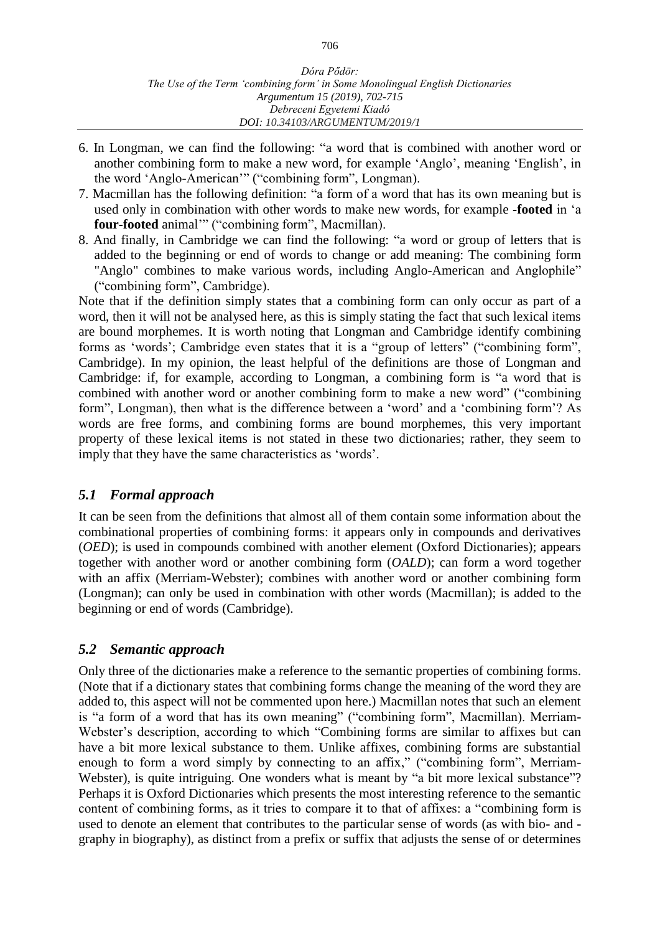- 6. In Longman, we can find the following: "a [word](https://www.ldoceonline.com/dictionary/word) that is [combined](https://www.ldoceonline.com/dictionary/combine) with another word or another combining [form](https://www.ldoceonline.com/dictionary/form) to make a new word, for [example](https://www.ldoceonline.com/dictionary/example) 'Anglo', meaning 'English', in the word 'Anglo-American'" ("combining form", Longman).
- 7. Macmillan has the following definition: "a form of a [word](https://www.macmillandictionary.com/dictionary/british/word_1) that has its own [meaning](https://www.macmillandictionary.com/dictionary/british/meaning_1) but is [used](https://www.macmillandictionary.com/dictionary/british/used) only in [combination](https://www.macmillandictionary.com/dictionary/british/combination) with other [words](https://www.macmillandictionary.com/dictionary/british/word_1) to [make](https://www.macmillandictionary.com/dictionary/british/make_1) [new](https://www.macmillandictionary.com/dictionary/british/new) [words,](https://www.macmillandictionary.com/dictionary/british/word_1) for [example](https://www.macmillandictionary.com/dictionary/british/example) **[-footed](https://www.macmillandictionary.com/dictionary/british/foot_2)** in 'a **four[-footed](https://www.macmillandictionary.com/dictionary/british/foot_2)** [animal'](https://www.macmillandictionary.com/dictionary/british/animal_1)" ("combining form", Macmillan).
- 8. And finally, in Cambridge we can find the following: "a word or [group](https://dictionary.cambridge.org/dictionary/english/group) of [letters](https://dictionary.cambridge.org/dictionary/english/capital) that is [added](https://dictionary.cambridge.org/dictionary/english/add) to the [beginning](https://dictionary.cambridge.org/dictionary/english/beginning) or end of words to [change](https://dictionary.cambridge.org/dictionary/english/change) or [add](https://dictionary.cambridge.org/dictionary/english/add) [meaning:](https://dictionary.cambridge.org/dictionary/english/meaning) The [combining](https://dictionary.cambridge.org/dictionary/english/combine) [form](https://dictionary.cambridge.org/dictionary/english/form) "Anglo" [combines](https://dictionary.cambridge.org/dictionary/english/combine) to make [various](https://dictionary.cambridge.org/dictionary/english/various) words, [including](https://dictionary.cambridge.org/dictionary/english/include) [Anglo-American](https://dictionary.cambridge.org/dictionary/english/anglo-american) and Anglophile" ("combining form", Cambridge).

Note that if the definition simply states that a combining form can only occur as part of a word, then it will not be analysed here, as this is simply stating the fact that such lexical items are bound morphemes. It is worth noting that Longman and Cambridge identify combining forms as ʻwords'; Cambridge even states that it is a "group of letters" ("combining form", Cambridge). In my opinion, the least helpful of the definitions are those of Longman and Cambridge: if, for example, according to Longman, a combining form is "a [word](https://www.ldoceonline.com/dictionary/word) that is [combined](https://www.ldoceonline.com/dictionary/combine) with another word or another combining [form](https://www.ldoceonline.com/dictionary/form) to make a new word" ("combining form", Longman), then what is the difference between a ʻword' and a ʻcombining form'? As words are free forms, and combining forms are bound morphemes, this very important property of these lexical items is not stated in these two dictionaries; rather, they seem to imply that they have the same characteristics as ʻwords'.

#### *5.1 Formal approach*

It can be seen from the definitions that almost all of them contain some information about the combinational properties of combining forms: it appears only in compounds and derivatives (*OED*); is used in compounds combined with another element (Oxford Dictionaries); appears together with another word or another combining form (*OALD*); can form a word together with an affix (Merriam-Webster); combines with another word or another combining form (Longman); can only be used in combination with other words (Macmillan); is added to the beginning or end of words (Cambridge).

#### *5.2 Semantic approach*

Only three of the dictionaries make a reference to the semantic properties of combining forms. (Note that if a dictionary states that combining forms change the meaning of the word they are added to, this aspect will not be commented upon here.) Macmillan notes that such an element is "a form of a [word](https://www.macmillandictionary.com/dictionary/british/word_1) that has its own [meaning"](https://www.macmillandictionary.com/dictionary/british/meaning_1) ("combining form", Macmillan). Merriam-Webster's description, according to which "Combining forms are similar to affixes but can have a bit more lexical substance to them. Unlike affixes, combining forms are substantial enough to form a word simply by connecting to an affix," ("combining form", Merriam-Webster), is quite intriguing. One wonders what is meant by "a bit more lexical substance"? Perhaps it is Oxford Dictionaries which presents the most interesting reference to the semantic content of combining forms, as it tries to compare it to that of affixes: a "combining form is used to denote an element that contributes to the particular sense of words (as with bio- and graphy in biography), as distinct from a prefix or suffix that adjusts the sense of or determines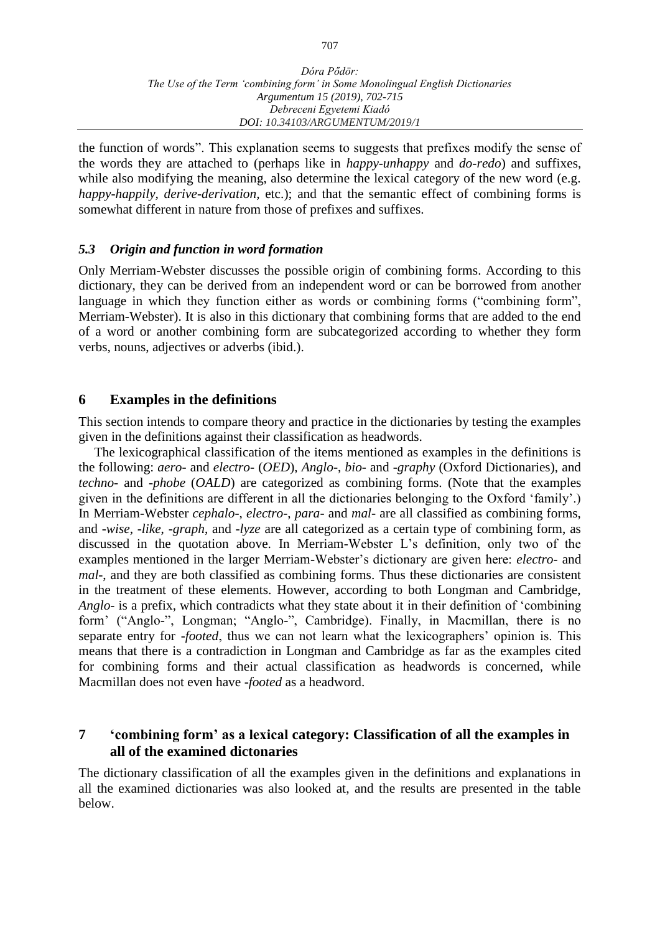the function of words". This explanation seems to suggests that prefixes modify the sense of the words they are attached to (perhaps like in *happy-unhappy* and *do-redo*) and suffixes, while also modifying the meaning, also determine the lexical category of the new word (e.g. *happy-happily, derive-derivation,* etc.); and that the semantic effect of combining forms is somewhat different in nature from those of prefixes and suffixes.

#### *5.3 Origin and function in word formation*

Only Merriam-Webster discusses the possible origin of combining forms. According to this dictionary, they can be derived from an independent word or can be borrowed from another language in which they function either as words or combining forms ("combining form", Merriam-Webster). It is also in this dictionary that combining forms that are added to the end of a word or another combining form are subcategorized according to whether they form verbs, nouns, adjectives or adverbs (ibid.).

#### **6 Examples in the definitions**

This section intends to compare theory and practice in the dictionaries by testing the examples given in the definitions against their classification as headwords.

The lexicographical classification of the items mentioned as examples in the definitions is the following: *aero*- and *electro*- (*OED*), *Anglo*-, *bio*- and -*graphy* (Oxford Dictionaries), and *techno*- and -*phobe* (*OALD*) are categorized as combining forms. (Note that the examples given in the definitions are different in all the dictionaries belonging to the Oxford ʻfamily'.) In Merriam-Webster *cephalo*-, *electro*-, *para*- and *mal*- are all classified as combining forms, and -*wise*, -*like*, -*graph*, and -*lyze* are all categorized as a certain type of combining form, as discussed in the quotation above. In Merriam-Webster L's definition, only two of the examples mentioned in the larger Merriam-Webster's dictionary are given here: *electro*- and *mal*-, and they are both classified as combining forms. Thus these dictionaries are consistent in the treatment of these elements. However, according to both Longman and Cambridge, *Anglo*- is a prefix, which contradicts what they state about it in their definition of ʻcombining form' ("Anglo-", Longman; "Anglo-", Cambridge). Finally, in Macmillan, there is no separate entry for -*footed*, thus we can not learn what the lexicographers' opinion is. This means that there is a contradiction in Longman and Cambridge as far as the examples cited for combining forms and their actual classification as headwords is concerned, while Macmillan does not even have -*footed* as a headword.

#### **7 ʻcombining form' as a lexical category: Classification of all the examples in all of the examined dictonaries**

The dictionary classification of all the examples given in the definitions and explanations in all the examined dictionaries was also looked at, and the results are presented in the table below.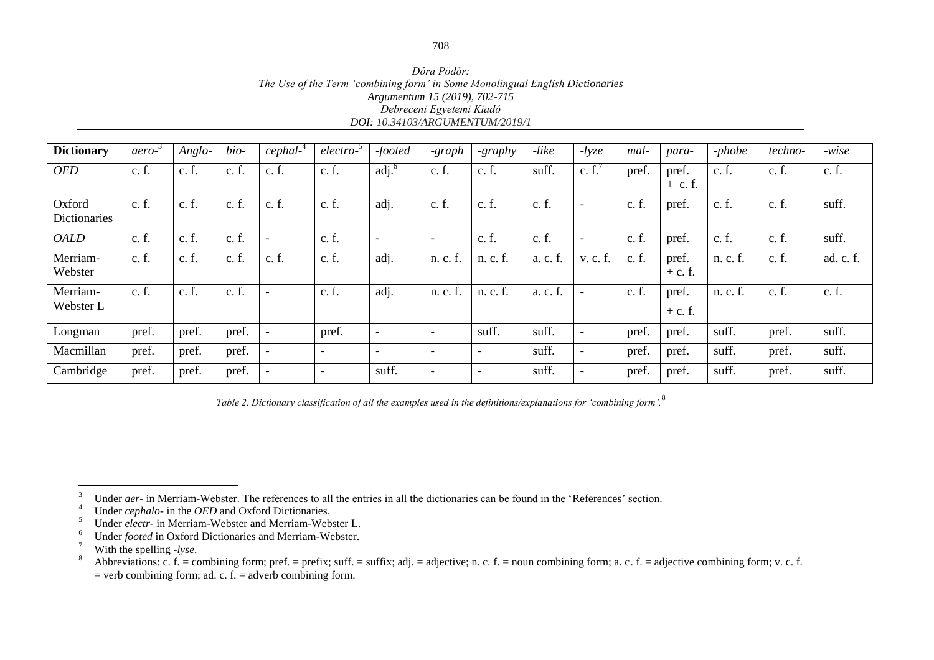*Dóra Pödör: The Use of the Term ʻcombining form' in Some Monolingual English Dictionaries Argumentum 15 (2019), 702-715 Debreceni Egyetemi Kiadó DOI: 10.34103/ARGUMENTUM/2019/1*

| <b>Dictionary</b>             | aero- | $Anglo-$ | bio-  | $cephal-4$ | electro-                 | -footed                       | -graph                   | -graphy                  | $-like$  | $-lyze$                  | mal-  | para-              | $-phobe$ | techno- | $-wise$   |
|-------------------------------|-------|----------|-------|------------|--------------------------|-------------------------------|--------------------------|--------------------------|----------|--------------------------|-------|--------------------|----------|---------|-----------|
| <b>OED</b>                    | c.f.  | c. f.    | c. f. | c.f.       | c. f.                    | $\overline{adj}$ <sup>6</sup> | c. f.                    | c. f.                    | suff.    | c. $f'$                  | pref. | pref.<br>$+$ c. f. | c. f.    | c. f.   | c. f.     |
| Oxford<br><b>Dictionaries</b> | c.f.  | c. f.    | c. f. | c.f.       | c. f.                    | adj.                          | c. f.                    | c.f.                     | c. f.    | $\overline{\phantom{a}}$ | c.f.  | pref.              | c. f.    | c. f.   | suff.     |
| <b>OALD</b>                   | c. f. | c. f.    | c. f. |            | c. f.                    | $\overline{\phantom{0}}$      | $\overline{\phantom{0}}$ | c. f.                    | c. f.    | $\overline{\phantom{a}}$ | c. f. | pref.              | c. f.    | c. f.   | suff.     |
| Merriam-<br>Webster           | c. f. | c. f.    | c. f. | c.f.       | c. f.                    | adj.                          | n. c. f.                 | n. c. f.                 | a. c. f. | v. c. f.                 | c. f. | pref.<br>$+ c. f.$ | n. c. f. | c. f.   | ad. c. f. |
| Merriam-<br>Webster L         | c.f.  | c. f.    | c. f. |            | c. f.                    | adj.                          | n. c. f.                 | n. c. f.                 | a. c. f  |                          | c.f.  | pref.<br>$+ c. f.$ | n. c. f. | c. f.   | c. f.     |
| Longman                       | pref. | pref.    | pref. |            | pref.                    | $\overline{\phantom{a}}$      | $\overline{\phantom{0}}$ | suff.                    | suff.    | $\overline{\phantom{a}}$ | pref. | pref.              | suff.    | pref.   | suff.     |
| Macmillan                     | pref. | pref.    | pref. |            | $\overline{\phantom{a}}$ | $\overline{\phantom{0}}$      | $\overline{\phantom{0}}$ | $\overline{\phantom{a}}$ | suff.    | $\overline{\phantom{a}}$ | pref. | pref.              | suff.    | pref.   | suff.     |
| Cambridge                     | pref. | pref.    | pref. |            | $\overline{\phantom{0}}$ | suff.                         | $\overline{\phantom{0}}$ | $\overline{\phantom{0}}$ | suff.    |                          | pref. | pref.              | suff.    | pref.   | suff.     |

*Table 2. Dictionary classification of all the examples used in the definitions/explanations for ʻcombining form'.*<sup>8</sup>

 $\overline{3}$ <sup>3</sup> Under *aer*- in Merriam-Webster. The references to all the entries in all the dictionaries can be found in the 'References' section.

<sup>&</sup>lt;sup>4</sup> Under *cephalo*- in the *OED* and Oxford Dictionaries.

<sup>5</sup> Under *electr-* in Merriam-Webster and Merriam-Webster L.

Under *footed* in Oxford Dictionaries and Merriam-Webster.

<sup>&</sup>lt;sup>7</sup> With the spelling *-lyse*.

Abbreviations: c. f. = combining form; pref. = prefix; suff. = suffix; adj. = adjective; n. c. f. = noun combining form; a. c. f. = adjective combining form; v. c. f.  $=$  verb combining form; ad. c. f.  $=$  adverb combining form.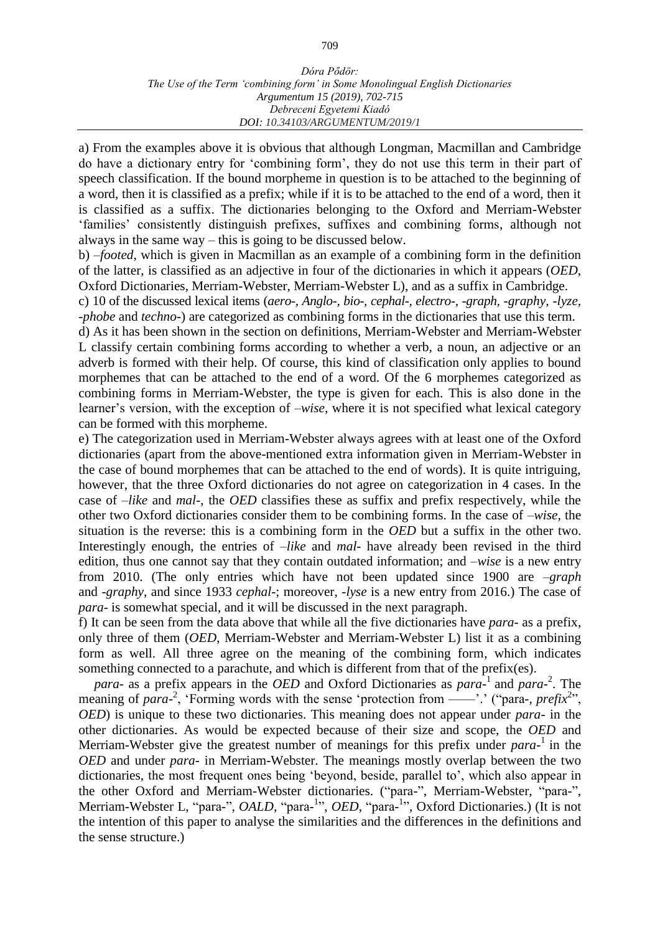a) From the examples above it is obvious that although Longman, Macmillan and Cambridge do have a dictionary entry for ʻcombining form', they do not use this term in their part of speech classification. If the bound morpheme in question is to be attached to the beginning of a word, then it is classified as a prefix; while if it is to be attached to the end of a word, then it is classified as a suffix. The dictionaries belonging to the Oxford and Merriam-Webster ʻfamilies' consistently distinguish prefixes, suffixes and combining forms, although not always in the same way – this is going to be discussed below.

b) –*footed*, which is given in Macmillan as an example of a combining form in the definition of the latter, is classified as an adjective in four of the dictionaries in which it appears (*OED*, Oxford Dictionaries, Merriam-Webster, Merriam-Webster L), and as a suffix in Cambridge.

c) 10 of the discussed lexical items (*aero-, Anglo-, bio-, cephal-, electro-, -graph, -graphy, -lyze, -phobe* and *techno-*) are categorized as combining forms in the dictionaries that use this term.

d) As it has been shown in the section on definitions, Merriam-Webster and Merriam-Webster L classify certain combining forms according to whether a verb, a noun, an adjective or an adverb is formed with their help. Of course, this kind of classification only applies to bound morphemes that can be attached to the end of a word. Of the 6 morphemes categorized as combining forms in Merriam-Webster, the type is given for each. This is also done in the learner's version, with the exception of –*wise*, where it is not specified what lexical category can be formed with this morpheme.

e) The categorization used in Merriam-Webster always agrees with at least one of the Oxford dictionaries (apart from the above-mentioned extra information given in Merriam-Webster in the case of bound morphemes that can be attached to the end of words). It is quite intriguing, however, that the three Oxford dictionaries do not agree on categorization in 4 cases. In the case of –*like* and *mal*-, the *OED* classifies these as suffix and prefix respectively, while the other two Oxford dictionaries consider them to be combining forms. In the case of –*wise*, the situation is the reverse: this is a combining form in the *OED* but a suffix in the other two. Interestingly enough, the entries of –*like* and *mal*- have already been revised in the third edition, thus one cannot say that they contain outdated information; and –*wise* is a new entry from 2010. (The only entries which have not been updated since 1900 are –*graph* and -*graphy*, and since 1933 *cephal*-; moreover, -*lyse* is a new entry from 2016.) The case of *para*- is somewhat special, and it will be discussed in the next paragraph.

f) It can be seen from the data above that while all the five dictionaries have *para*- as a prefix, only three of them (*OED*, Merriam-Webster and Merriam-Webster L) list it as a combining form as well. All three agree on the meaning of the combining form, which indicates something connected to a parachute, and which is different from that of the prefix(es).

*para*- as a prefix appears in the *OED* and Oxford Dictionaries as *para*-<sup>1</sup>and *para*-2 . The meaning of *para*<sup>-2</sup>, 'Forming words with the sense 'protection from ——'.' ("para-, *prefix*<sup>2</sup>", *OED*) is unique to these two dictionaries. This meaning does not appear under *para*- in the other dictionaries. As would be expected because of their size and scope, the *OED* and Merriam-Webster give the greatest number of meanings for this prefix under *para*<sup>-1</sup> in the *OED* and under *para*- in Merriam-Webster. The meanings mostly overlap between the two dictionaries, the most frequent ones being ʻbeyond, beside, parallel to', which also appear in the other Oxford and Merriam-Webster dictionaries. ("para-", Merriam-Webster, "para-", Merriam-Webster L, "para-", *OALD*, "para-<sup>1</sup>", *OED*, "para-<sup>1</sup>", Oxford Dictionaries.) (It is not the intention of this paper to analyse the similarities and the differences in the definitions and the sense structure.)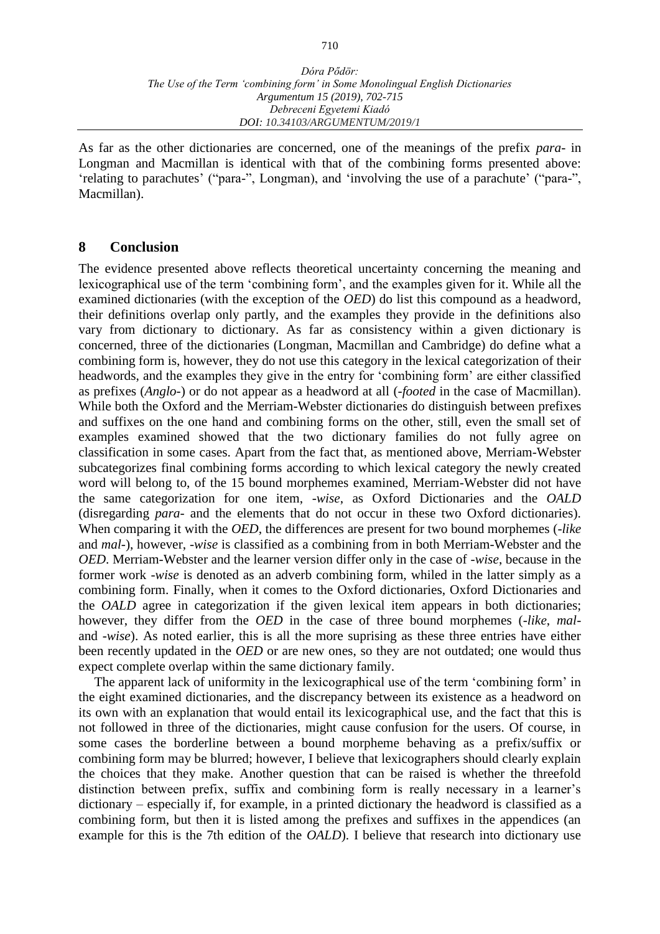As far as the other dictionaries are concerned, one of the meanings of the prefix *para*- in Longman and Macmillan is identical with that of the combining forms presented above: ʻrelating to [parachutes'](https://www.ldoceonline.com/dictionary/parachute) ("para-", Longman), and [ʻinvolving](https://www.macmillandictionary.com/dictionary/british/involve) the use of a [parachute'](https://www.macmillandictionary.com/dictionary/british/parachute_1) ("para-", Macmillan).

#### **8 Conclusion**

The evidence presented above reflects theoretical uncertainty concerning the meaning and lexicographical use of the term ʻcombining form', and the examples given for it. While all the examined dictionaries (with the exception of the *OED*) do list this compound as a headword, their definitions overlap only partly, and the examples they provide in the definitions also vary from dictionary to dictionary. As far as consistency within a given dictionary is concerned, three of the dictionaries (Longman, Macmillan and Cambridge) do define what a combining form is, however, they do not use this category in the lexical categorization of their headwords, and the examples they give in the entry for ʻcombining form' are either classified as prefixes (*Anglo*-) or do not appear as a headword at all (-*footed* in the case of Macmillan). While both the Oxford and the Merriam-Webster dictionaries do distinguish between prefixes and suffixes on the one hand and combining forms on the other, still, even the small set of examples examined showed that the two dictionary families do not fully agree on classification in some cases. Apart from the fact that, as mentioned above, Merriam-Webster subcategorizes final combining forms according to which lexical category the newly created word will belong to, of the 15 bound morphemes examined, Merriam-Webster did not have the same categorization for one item, -*wise*, as Oxford Dictionaries and the *OALD* (disregarding *para*- and the elements that do not occur in these two Oxford dictionaries). When comparing it with the *OED*, the differences are present for two bound morphemes (-*like* and *mal*-), however, -*wise* is classified as a combining from in both Merriam-Webster and the *OED*. Merriam-Webster and the learner version differ only in the case of -*wise*, because in the former work -*wise* is denoted as an adverb combining form, whiled in the latter simply as a combining form. Finally, when it comes to the Oxford dictionaries, Oxford Dictionaries and the *OALD* agree in categorization if the given lexical item appears in both dictionaries; however, they differ from the *OED* in the case of three bound morphemes (-*like*, *mal*and -*wise*). As noted earlier, this is all the more suprising as these three entries have either been recently updated in the *OED* or are new ones, so they are not outdated; one would thus expect complete overlap within the same dictionary family.

The apparent lack of uniformity in the lexicographical use of the term ʻcombining form' in the eight examined dictionaries, and the discrepancy between its existence as a headword on its own with an explanation that would entail its lexicographical use, and the fact that this is not followed in three of the dictionaries, might cause confusion for the users. Of course, in some cases the borderline between a bound morpheme behaving as a prefix/suffix or combining form may be blurred; however, I believe that lexicographers should clearly explain the choices that they make. Another question that can be raised is whether the threefold distinction between prefix, suffix and combining form is really necessary in a learner's dictionary – especially if, for example, in a printed dictionary the headword is classified as a combining form, but then it is listed among the prefixes and suffixes in the appendices (an example for this is the 7th edition of the *OALD*). I believe that research into dictionary use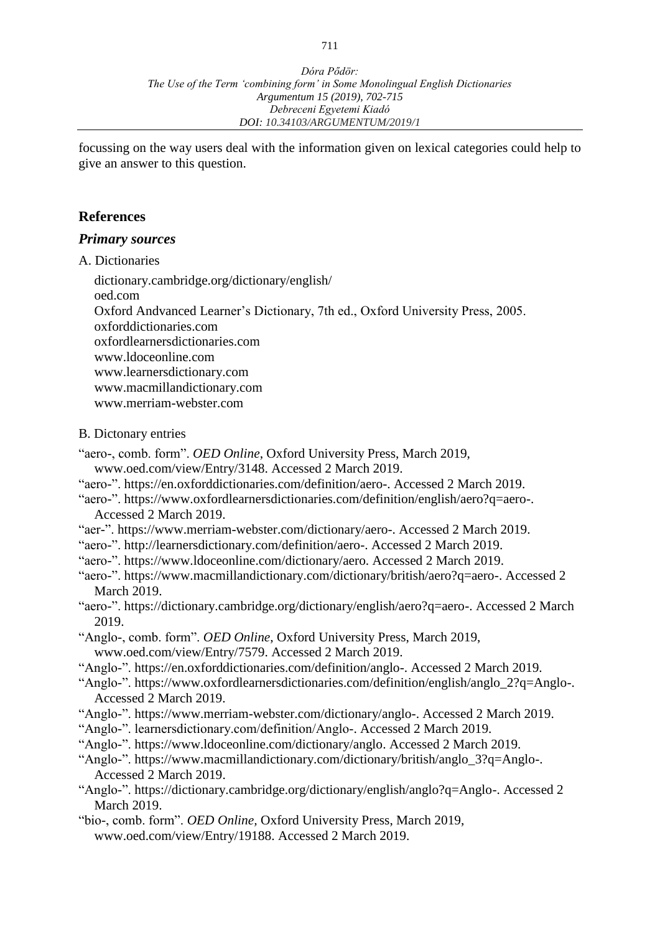focussing on the way users deal with the information given on lexical categories could help to give an answer to this question.

#### **References**

#### *Primary sources*

A. Dictionaries

[dictionary.cambridge.org/dictionary/english/](https://dictionary.cambridge.org/dictionary/english/) oed.com Oxford Andvanced Learner's Dictionary, 7th ed., Oxford University Press, 2005. oxforddictionaries.com oxfordlearnersdictionaries.com [www.ldoceonline.com](http://www.ldoceonline.com/) [www.learnersdictionary.com](http://www.learnersdictionary.com/) www.macmillandictionary.com [www.merriam-webster.com](http://www.merriam-webster.com/)

#### B. Dictonary entries

- "aero-, comb. form". *OED Online*, Oxford University Press, March 2019,
- [www.oed.com/view/Entry/3148.](http://www.oed.com/view/Entry/3148) Accessed 2 March 2019.
- "aero-". [https://en.oxforddictionaries.com/definition/aero-.](https://en.oxforddictionaries.com/definition/aero-) Accessed 2 March 2019.
- "aero-". [https://www.oxfordlearnersdictionaries.com/definition/english/aero?q=aero-.](https://www.oxfordlearnersdictionaries.com/definition/english/aero?q=aero-) Accessed 2 March 2019.
- "aer-". [https://www.merriam-webster.com/dictionary/aero-.](https://www.merriam-webster.com/dictionary/aero-) Accessed 2 March 2019.
- "aero-". [http://learnersdictionary.com/definition/aero-.](http://learnersdictionary.com/definition/aero-) Accessed 2 March 2019.
- "aero-". [https://www.ldoceonline.com/dictionary/aero.](https://www.ldoceonline.com/dictionary/aero) Accessed 2 March 2019.
- "aero-". [https://www.macmillandictionary.com/dictionary/british/aero?q=aero-.](https://www.macmillandictionary.com/dictionary/british/aero?q=aero-) Accessed 2 March 2019.
- "aero-". [https://dictionary.cambridge.org/dictionary/english/aero?q=aero-.](https://dictionary.cambridge.org/dictionary/english/aero?q=aero-) Accessed 2 March 2019.
- "Anglo-, comb. form". *OED Online*, Oxford University Press, March 2019, www.oed.com/view/Entry/7579. Accessed 2 March 2019.
- "Anglo-". [https://en.oxforddictionaries.com/definition/anglo-.](https://en.oxforddictionaries.com/definition/anglo-) Accessed 2 March 2019.
- "Anglo-". [https://www.oxfordlearnersdictionaries.com/definition/english/anglo\\_2?q=Anglo-.](https://www.oxfordlearnersdictionaries.com/definition/english/anglo_2?q=Anglo-) Accessed 2 March 2019.
- "Anglo-". [https://www.merriam-webster.com/dictionary/anglo-.](https://www.merriam-webster.com/dictionary/anglo-) Accessed 2 March 2019.
- "Anglo-". learnersdictionary.com/definition/Anglo-. Accessed 2 March 2019.
- "Anglo-". [https://www.ldoceonline.com/dictionary/anglo.](https://www.ldoceonline.com/dictionary/anglo) Accessed 2 March 2019.
- "Anglo-". [https://www.macmillandictionary.com/dictionary/british/anglo\\_3?q=Anglo-.](https://www.macmillandictionary.com/dictionary/british/anglo_3?q=Anglo-) Accessed 2 March 2019.
- "Anglo-". [https://dictionary.cambridge.org/dictionary/english/anglo?q=Anglo-.](https://dictionary.cambridge.org/dictionary/english/anglo?q=Anglo-) Accessed 2 March 2019.
- "bio-, comb. form". *OED Online,* Oxford University Press, March 2019, [www.oed.com/view/Entry/19188.](http://www.oed.com/view/Entry/19188) Accessed 2 March 2019.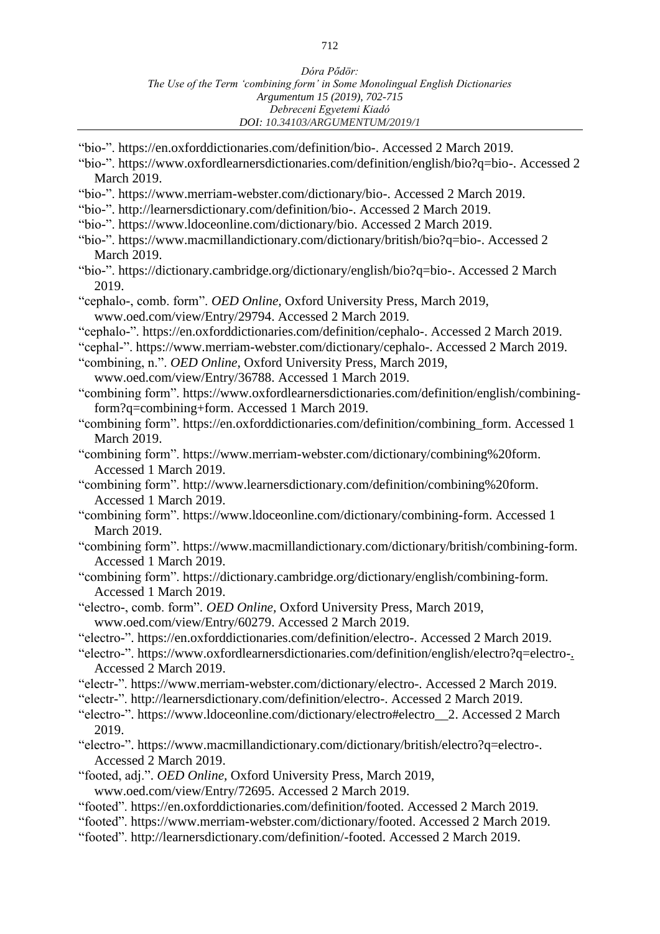- "bio-". [https://en.oxforddictionaries.com/definition/bio-.](https://en.oxforddictionaries.com/definition/bio-) Accessed 2 March 2019.
- "bio-". [https://www.oxfordlearnersdictionaries.com/definition/english/bio?q=bio-.](https://www.oxfordlearnersdictionaries.com/definition/english/bio?q=bio-) Accessed 2 March 2019.
- "bio-". [https://www.merriam-webster.com/dictionary/bio-.](https://www.merriam-webster.com/dictionary/bio-) Accessed 2 March 2019.
- "bio-". [http://learnersdictionary.com/definition/bio-.](http://learnersdictionary.com/definition/bio-) Accessed 2 March 2019.
- "bio-". [https://www.ldoceonline.com/dictionary/bio.](https://www.ldoceonline.com/dictionary/bio) Accessed 2 March 2019.
- "bio-". [https://www.macmillandictionary.com/dictionary/british/bio?q=bio-.](https://www.macmillandictionary.com/dictionary/british/bio?q=bio-) Accessed 2 March 2019.
- "bio-". [https://dictionary.cambridge.org/dictionary/english/bio?q=bio-.](https://dictionary.cambridge.org/dictionary/english/bio?q=bio-) Accessed 2 March 2019.
- "cephalo-, comb. form". *OED Online,* Oxford University Press, March 2019, www.oed.com/view/Entry/29794. Accessed 2 March 2019.
- "cephalo-". [https://en.oxforddictionaries.com/definition/cephalo-.](https://en.oxforddictionaries.com/definition/cephalo-) Accessed 2 March 2019.
- "cephal-". [https://www.merriam-webster.com/dictionary/cephalo-.](https://www.merriam-webster.com/dictionary/cephalo-) Accessed 2 March 2019.
- "combining, n.". *OED Online,* Oxford University Press, March 2019,
- [www.oed.com/view/Entry/36788.](http://www.oed.com/view/Entry/36788) Accessed 1 March 2019.

"combining form". [https://www.oxfordlearnersdictionaries.com/definition/english/combining](https://www.oxfordlearnersdictionaries.com/definition/english/combining-form?q=combining+form)[form?q=combining+form.](https://www.oxfordlearnersdictionaries.com/definition/english/combining-form?q=combining+form) Accessed 1 March 2019.

- "combining form". [https://en.oxforddictionaries.com/definition/combining\\_form.](https://en.oxforddictionaries.com/definition/combining_form) Accessed 1 March 2019.
- "combining form". [https://www.merriam-webster.com/dictionary/combining%20form.](https://www.merriam-webster.com/dictionary/combining%20form) Accessed 1 March 2019.

"combining form". [http://www.learnersdictionary.com/definition/combining%20form.](http://www.learnersdictionary.com/definition/combining%20form) Accessed 1 March 2019.

- "combining form". [https://www.ldoceonline.com/dictionary/combining-form.](https://www.ldoceonline.com/dictionary/combining-form) Accessed 1 March 2019.
- "combining form". [https://www.macmillandictionary.com/dictionary/british/combining-form.](https://www.macmillandictionary.com/dictionary/british/combining-form) Accessed 1 March 2019.
- "combining form". [https://dictionary.cambridge.org/dictionary/english/combining-form.](https://dictionary.cambridge.org/dictionary/english/combining-form) Accessed 1 March 2019.
- "electro-, comb. form". *OED Online,* Oxford University Press, March 2019, www.oed.com/view/Entry/60279. Accessed 2 March 2019.
- "electro-". [https://en.oxforddictionaries.com/definition/electro-.](https://en.oxforddictionaries.com/definition/electro-) Accessed 2 March 2019.
- "electro-". [https://www.oxfordlearnersdictionaries.com/definition/english/electro?q=electro-.](https://www.oxfordlearnersdictionaries.com/definition/english/electro?q=electro-) Accessed 2 March 2019.
- "electr-". [https://www.merriam-webster.com/dictionary/electro-.](https://www.merriam-webster.com/dictionary/electro-) Accessed 2 March 2019.
- "electr-". [http://learnersdictionary.com/definition/electro-.](http://learnersdictionary.com/definition/electro-) Accessed 2 March 2019.
- "electro-". [https://www.ldoceonline.com/dictionary/electro#electro\\_\\_2.](https://www.ldoceonline.com/dictionary/electro#electro__2) Accessed 2 March 2019.
- "electro-". [https://www.macmillandictionary.com/dictionary/british/electro?q=electro-.](https://www.macmillandictionary.com/dictionary/british/electro?q=electro-) Accessed 2 March 2019.
- "footed, adj.". *OED Online,* Oxford University Press, March 2019, [www.oed.com/view/Entry/72695.](http://www.oed.com/view/Entry/72695) Accessed 2 March 2019.
- "footed". [https://en.oxforddictionaries.com/definition/footed.](https://en.oxforddictionaries.com/definition/footed) Accessed 2 March 2019.
- "footed". [https://www.merriam-webster.com/dictionary/footed.](https://www.merriam-webster.com/dictionary/footed) Accessed 2 March 2019.
- "footed". [http://learnersdictionary.com/definition/-footed.](http://learnersdictionary.com/definition/-footed) Accessed 2 March 2019.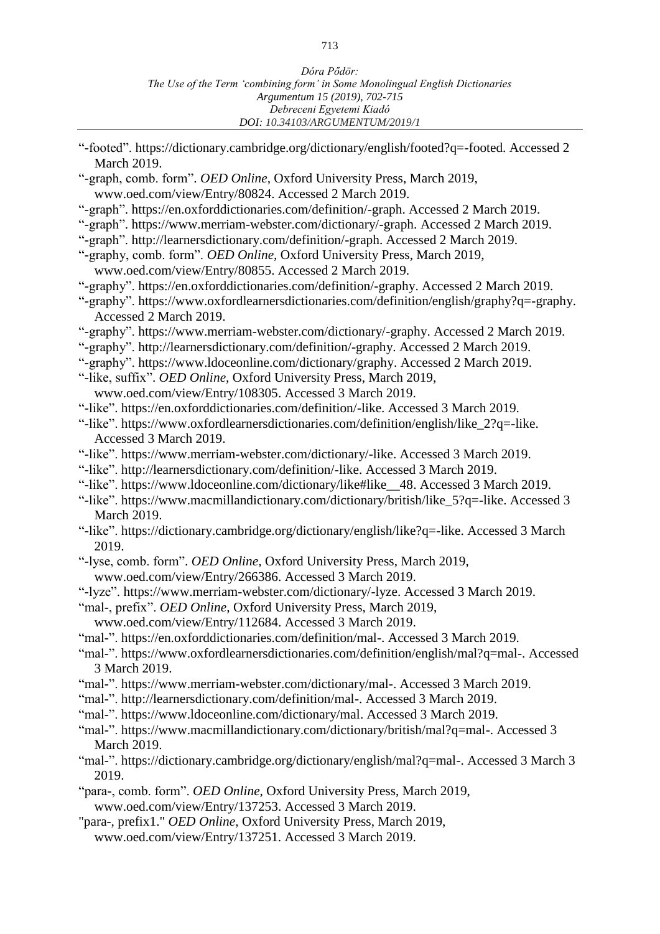- "-footed". [https://dictionary.cambridge.org/dictionary/english/footed?q=-footed.](https://dictionary.cambridge.org/dictionary/english/footed?q=-footed) Accessed 2 March 2019.
- "-graph, comb. form". *OED Online,* Oxford University Press, March 2019, www.oed.com/view/Entry/80824. Accessed 2 March 2019.
- "-graph". [https://en.oxforddictionaries.com/definition/-graph.](https://en.oxforddictionaries.com/definition/-graph) Accessed 2 March 2019.
- "-graph". [https://www.merriam-webster.com/dictionary/-graph.](https://www.merriam-webster.com/dictionary/-graph) Accessed 2 March 2019.
- "-graph". [http://learnersdictionary.com/definition/-graph.](http://learnersdictionary.com/definition/-graph) Accessed 2 March 2019.
- "-graphy, comb. form". *OED Online,* Oxford University Press, March 2019, www.oed.com/view/Entry/80855. Accessed 2 March 2019.
- "-graphy". [https://en.oxforddictionaries.com/definition/-graphy.](https://en.oxforddictionaries.com/definition/-graphy) Accessed 2 March 2019.
- "-graphy". [https://www.oxfordlearnersdictionaries.com/definition/english/graphy?q=-graphy.](https://www.oxfordlearnersdictionaries.com/definition/english/graphy?q=-graphy) Accessed 2 March 2019.
- "-graphy". [https://www.merriam-webster.com/dictionary/-graphy.](https://www.merriam-webster.com/dictionary/-graphy) Accessed 2 March 2019.
- "-graphy". [http://learnersdictionary.com/definition/-graphy.](http://learnersdictionary.com/definition/-graphy) Accessed 2 March 2019.
- "-graphy". [https://www.ldoceonline.com/dictionary/graphy.](https://www.ldoceonline.com/dictionary/graphy) Accessed 2 March 2019.
- "-like, suffix". *OED Online,* Oxford University Press, March 2019,
	- www.oed.com/view/Entry/108305. Accessed 3 March 2019.
- "-like". [https://en.oxforddictionaries.com/definition/-like.](https://en.oxforddictionaries.com/definition/-like) Accessed 3 March 2019.
- "-like". [https://www.oxfordlearnersdictionaries.com/definition/english/like\\_2?q=-like.](https://www.oxfordlearnersdictionaries.com/definition/english/like_2?q=-like) Accessed 3 March 2019.
- "-like". [https://www.merriam-webster.com/dictionary/-like.](https://www.merriam-webster.com/dictionary/-like) Accessed 3 March 2019.
- "-like". [http://learnersdictionary.com/definition/-like.](http://learnersdictionary.com/definition/-like) Accessed 3 March 2019.
- "-like". [https://www.ldoceonline.com/dictionary/like#like\\_\\_48.](https://www.ldoceonline.com/dictionary/like#like__48) Accessed 3 March 2019.
- "-like". [https://www.macmillandictionary.com/dictionary/british/like\\_5?q=-like.](https://www.macmillandictionary.com/dictionary/british/like_5?q=-like) Accessed 3 March 2019.
- "-like". [https://dictionary.cambridge.org/dictionary/english/like?q=-like.](https://dictionary.cambridge.org/dictionary/english/like?q=-like) Accessed 3 March 2019.
- "-lyse, comb. form". *OED Online,* Oxford University Press, March 2019, [www.oed.com/view/Entry/266386.](http://www.oed.com/view/Entry/266386) Accessed 3 March 2019.
- "-lyze". [https://www.merriam-webster.com/dictionary/-lyze.](https://www.merriam-webster.com/dictionary/-lyze) Accessed 3 March 2019.
- "mal-, prefix". *OED Online,* Oxford University Press, March 2019,
- [www.oed.com/view/Entry/112684.](http://www.oed.com/view/Entry/112684) Accessed 3 March 2019.
- "mal-". [https://en.oxforddictionaries.com/definition/mal-.](https://en.oxforddictionaries.com/definition/mal-) Accessed 3 March 2019.
- "mal-". [https://www.oxfordlearnersdictionaries.com/definition/english/mal?q=mal-.](https://www.oxfordlearnersdictionaries.com/definition/english/mal?q=mal-) Accessed 3 March 2019.
- "mal-". https://www.merriam-webster.com/dictionary/mal-. Accessed 3 March 2019.
- "mal-". http://learnersdictionary.com/definition/mal-. Accessed 3 March 2019.
- "mal-". [https://www.ldoceonline.com/dictionary/mal.](https://www.ldoceonline.com/dictionary/mal) Accessed 3 March 2019.
- "mal-". [https://www.macmillandictionary.com/dictionary/british/mal?q=mal-.](https://www.macmillandictionary.com/dictionary/british/mal?q=mal-) Accessed 3 March 2019.
- "mal-". [https://dictionary.cambridge.org/dictionary/english/mal?q=mal-.](https://dictionary.cambridge.org/dictionary/english/mal?q=mal-) Accessed 3 March 3 2019.
- "para-, comb. form". *OED Online,* Oxford University Press, March 2019,
- www.oed.com/view/Entry/137253. Accessed 3 March 2019.
- "para-, prefix1." *OED Online*, Oxford University Press, March 2019, [www.oed.com/view/Entry/137251. Accessed 3 March 2019.](http://www.oed.com/view/Entry/137251.%20Accessed%203%20March%202019)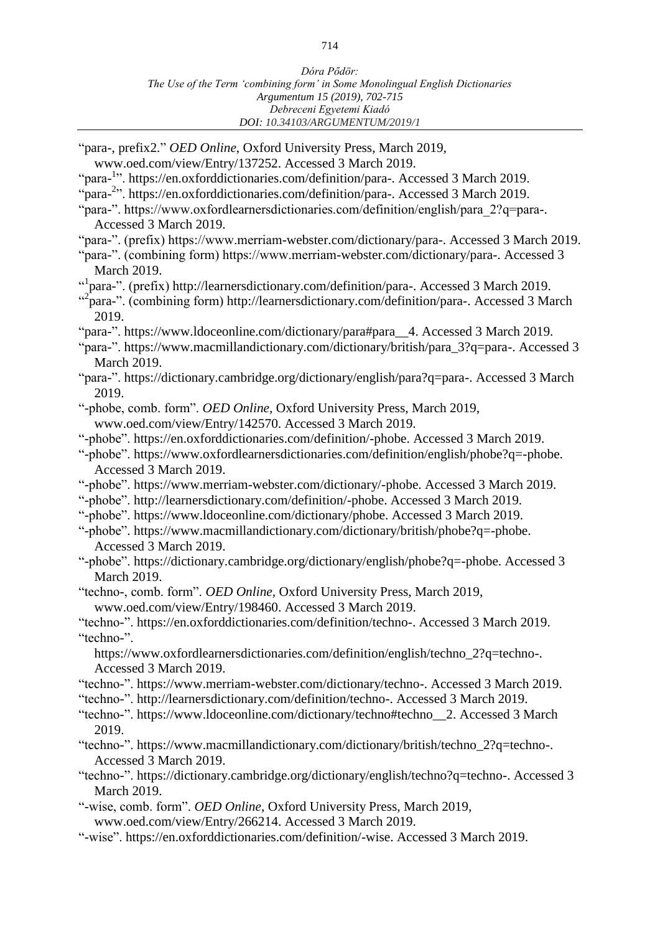| "para-, prefix2." OED Online, Oxford University Press, March 2019,                                       |
|----------------------------------------------------------------------------------------------------------|
| www.oed.com/view/Entry/137252. Accessed 3 March 2019.                                                    |
| "para- <sup>1</sup> ". https://en.oxforddictionaries.com/definition/para-. Accessed 3 March 2019.        |
| "para- <sup>2</sup> ". https://en.oxforddictionaries.com/definition/para-. Accessed 3 March 2019.        |
| "para-". https://www.oxfordlearnersdictionaries.com/definition/english/para_2?q=para-.                   |
| Accessed 3 March 2019.                                                                                   |
| "para-". (prefix) https://www.merriam-webster.com/dictionary/para-. Accessed 3 March 2019.               |
| "para-". (combining form) https://www.merriam-webster.com/dictionary/para-. Accessed 3                   |
| <b>March 2019.</b>                                                                                       |
| " <sup>1</sup> para-". (prefix) http://learnersdictionary.com/definition/para-. Accessed 3 March 2019.   |
|                                                                                                          |
| " <sup>2</sup> para-". (combining form) http://learnersdictionary.com/definition/para-. Accessed 3 March |
| 2019.                                                                                                    |
| "para-". https://www.ldoceonline.com/dictionary/para#para_4. Accessed 3 March 2019.                      |
| "para-". https://www.macmillandictionary.com/dictionary/british/para_3?q=para-. Accessed 3               |
| <b>March 2019.</b>                                                                                       |
| "para-". https://dictionary.cambridge.org/dictionary/english/para?q=para-. Accessed 3 March              |
| 2019.                                                                                                    |
| "-phobe, comb. form". OED Online, Oxford University Press, March 2019,                                   |
| www.oed.com/view/Entry/142570. Accessed 3 March 2019.                                                    |
|                                                                                                          |
| "-phobe". https://en.oxforddictionaries.com/definition/-phobe. Accessed 3 March 2019.                    |
| "-phobe". https://www.oxfordlearnersdictionaries.com/definition/english/phobe?q=-phobe.                  |
| Accessed 3 March 2019.                                                                                   |
| "-phobe". https://www.merriam-webster.com/dictionary/-phobe. Accessed 3 March 2019.                      |
| "-phobe". http://learnersdictionary.com/definition/-phobe. Accessed 3 March 2019.                        |
| "-phobe". https://www.ldoceonline.com/dictionary/phobe. Accessed 3 March 2019.                           |
| "-phobe". https://www.macmillandictionary.com/dictionary/british/phobe?q=-phobe.                         |
| Accessed 3 March 2019.                                                                                   |
| "-phobe". https://dictionary.cambridge.org/dictionary/english/phobe?q=-phobe. Accessed 3                 |
| <b>March 2019.</b>                                                                                       |
| "techno-, comb. form". OED Online, Oxford University Press, March 2019,                                  |
| www.oed.com/view/Entry/198460. Accessed 3 March 2019.                                                    |
| "techno-". https://en.oxforddictionaries.com/definition/techno-. Accessed 3 March 2019.                  |
|                                                                                                          |
| "techno-".                                                                                               |
| https://www.oxfordlearnersdictionaries.com/definition/english/techno_2?q=techno-.                        |
| Accessed 3 March 2019.                                                                                   |
| "techno-". https://www.merriam-webster.com/dictionary/techno-. Accessed 3 March 2019.                    |
| "techno-". http://learnersdictionary.com/definition/techno-. Accessed 3 March 2019.                      |
| "techno-". https://www.ldoceonline.com/dictionary/techno#techno_2. Accessed 3 March                      |
| 2019.                                                                                                    |
| "techno-". https://www.macmillandictionary.com/dictionary/british/techno_2?q=techno-.                    |
| Accessed 3 March 2019.                                                                                   |
| "techno-". https://dictionary.cambridge.org/dictionary/english/techno?q=techno-. Accessed 3              |
| <b>March 2019.</b>                                                                                       |
| "-wise, comb. form". OED Online, Oxford University Press, March 2019,                                    |
|                                                                                                          |
| www.oed.com/view/Entry/266214. Accessed 3 March 2019.                                                    |
| "-wise". https://en.oxforddictionaries.com/definition/-wise. Accessed 3 March 2019.                      |